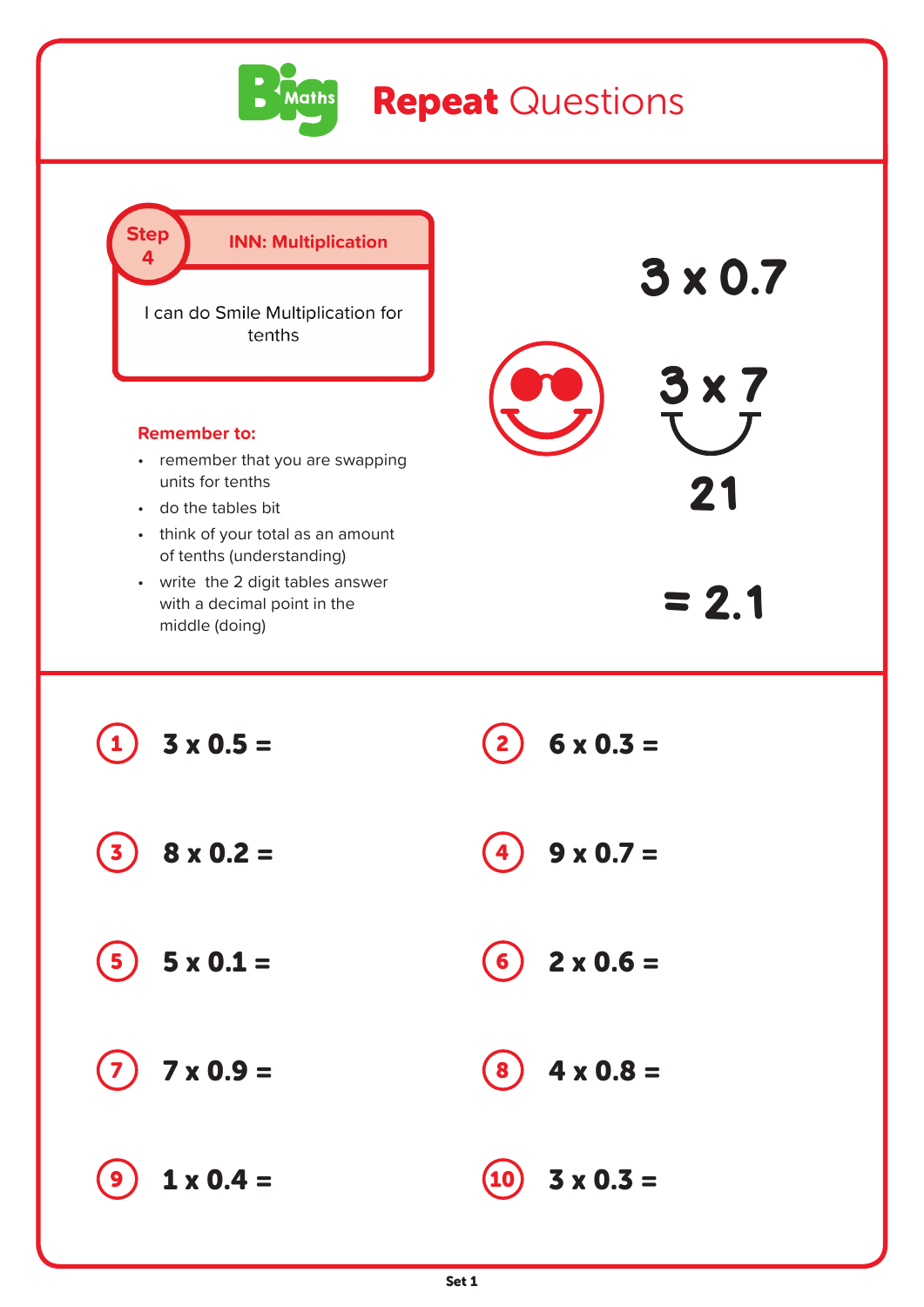

## **Repeat Questions**

Step **INN: Multiplication**  $\Delta$ 3 x 0.7 I can do Smile Multiplication for tenths 3 x 7 **Remember to:** • remember that you are swapping units for tenths 21 • do the tables bit • think of your total as an amount of tenths (understanding) • write the 2 digit tables answer  $= 2.1$ with a decimal point in the middle (doing) (1)  $3 \times 0.5 =$  (2)  $6 \times 0.3 =$  $(3) 8 \times 0.2 = (4) 9 \times 0.7 =$  $(5)$  5 x 0.1 =  $(6)$  2 x 0.6 =  $7)$  7 x 0.9 =  $(8)$  4 x 0.8 =  $\bullet$  1 x 0.4 =  $\qquad$  10 3 x 0.3 =